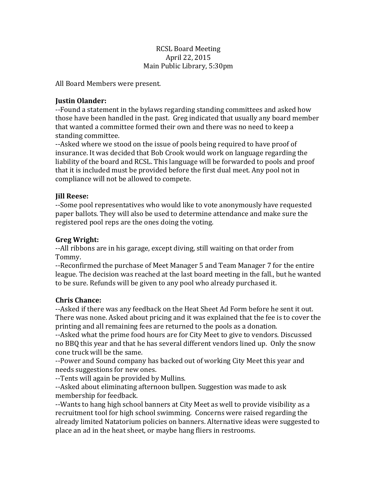### **RCSL Board Meeting** April 22, 2015 Main Public Library, 5:30pm

All Board Members were present.

## **Justin Olander:**

--Found a statement in the bylaws regarding standing committees and asked how those have been handled in the past. Greg indicated that usually any board member that wanted a committee formed their own and there was no need to keep a standing committee.

--Asked where we stood on the issue of pools being required to have proof of insurance. It was decided that Bob Crook would work on language regarding the liability of the board and RCSL. This language will be forwarded to pools and proof that it is included must be provided before the first dual meet. Any pool not in compliance will not be allowed to compete.

## **Jill Reese:**

--Some pool representatives who would like to vote anonymously have requested paper ballots. They will also be used to determine attendance and make sure the registered pool reps are the ones doing the voting.

# **Greg Wright:**

--All ribbons are in his garage, except diving, still waiting on that order from Tommy. 

--Reconfirmed the purchase of Meet Manager 5 and Team Manager 7 for the entire league. The decision was reached at the last board meeting in the fall., but he wanted to be sure. Refunds will be given to any pool who already purchased it.

# **Chris Chance:**

--Asked if there was any feedback on the Heat Sheet Ad Form before he sent it out. There was none. Asked about pricing and it was explained that the fee is to cover the printing and all remaining fees are returned to the pools as a donation.

--Asked what the prime food hours are for City Meet to give to vendors. Discussed no BBQ this year and that he has several different vendors lined up. Only the snow cone truck will be the same.

--Power and Sound company has backed out of working City Meet this year and needs suggestions for new ones.

--Tents will again be provided by Mullins.

--Asked about eliminating afternoon bullpen. Suggestion was made to ask membership for feedback.

--Wants to hang high school banners at City Meet as well to provide visibility as a recruitment tool for high school swimming. Concerns were raised regarding the already limited Natatorium policies on banners. Alternative ideas were suggested to place an ad in the heat sheet, or maybe hang fliers in restrooms.